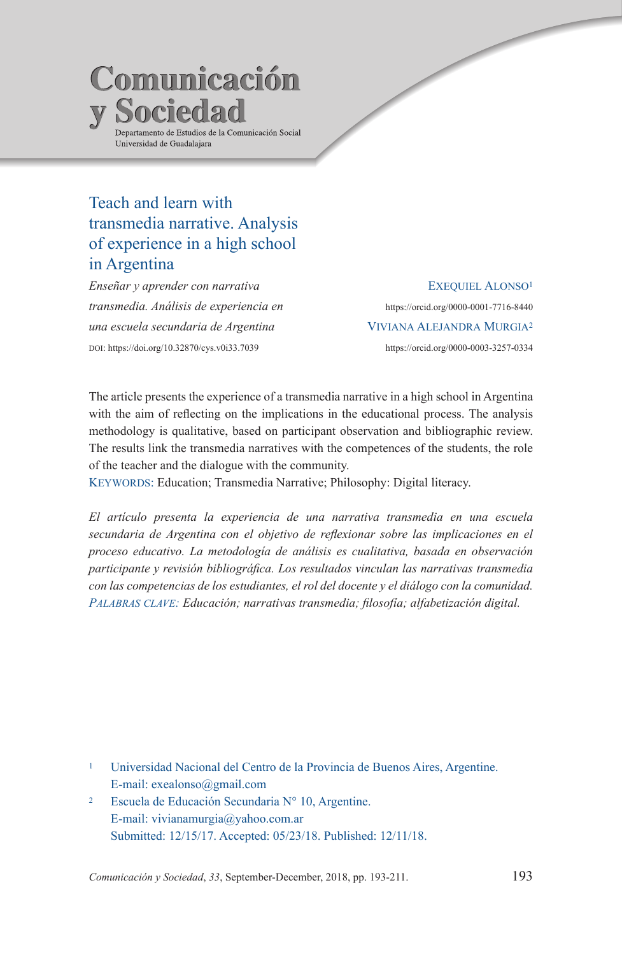# **Comunicación y Sociedad** Departamento de Estudios de la Comunicación Social Universidad de Guadalajara

## Teach and learn with transmedia narrative. Analysis of experience in a high school in Argentina

*Enseñar y aprender con narrativa transmedia. Análisis de experiencia en una escuela secundaria de Argentina*  doi: https://doi.org/10.32870/cys.v0i33.7039

EXEQUIEL ALONSO<sup>1</sup> https://orcid.org/0000-0001-7716-8440 Viviana Alejandra Murgia2 https://orcid.org/0000-0003-3257-0334

The article presents the experience of a transmedia narrative in a high school in Argentina with the aim of reflecting on the implications in the educational process. The analysis methodology is qualitative, based on participant observation and bibliographic review. The results link the transmedia narratives with the competences of the students, the role of the teacher and the dialogue with the community.

KEYWORDS: Education; Transmedia Narrative; Philosophy: Digital literacy.

*El artículo presenta la experiencia de una narrativa transmedia en una escuela secundaria de Argentina con el objetivo de reflexionar sobre las implicaciones en el proceso educativo. La metodología de análisis es cualitativa, basada en observación participante y revisión bibliográfica. Los resultados vinculan las narrativas transmedia con las competencias de los estudiantes, el rol del docente y el diálogo con la comunidad. Palabras clave: Educación; narrativas transmedia; filosofía; alfabetización digital.*

- <sup>1</sup> Universidad Nacional del Centro de la Provincia de Buenos Aires, Argentine. E-mail: exealonso@gmail.com
- <sup>2</sup> Escuela de Educación Secundaria N° 10, Argentine. E-mail: vivianamurgia@yahoo.com.ar Submitted: 12/15/17. Accepted: 05/23/18. Published: 12/11/18.

*Comunicación y Sociedad*, *33*, September-December, 2018, pp. 193-211. 193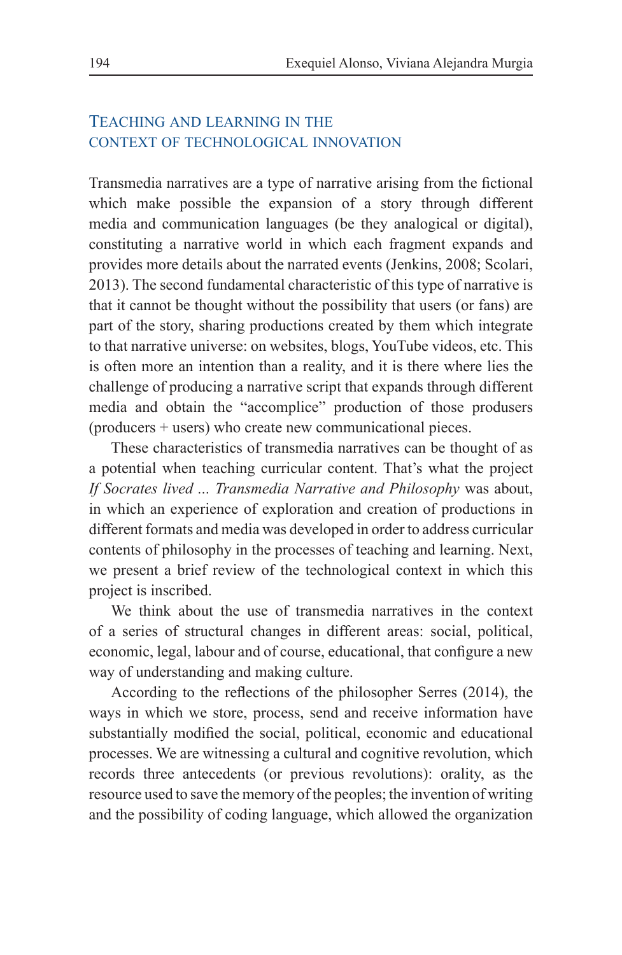### Teaching and learning in the context of technological innovation

Transmedia narratives are a type of narrative arising from the fictional which make possible the expansion of a story through different media and communication languages (be they analogical or digital), constituting a narrative world in which each fragment expands and provides more details about the narrated events (Jenkins, 2008; Scolari, 2013). The second fundamental characteristic of this type of narrative is that it cannot be thought without the possibility that users (or fans) are part of the story, sharing productions created by them which integrate to that narrative universe: on websites, blogs, YouTube videos, etc. This is often more an intention than a reality, and it is there where lies the challenge of producing a narrative script that expands through different media and obtain the "accomplice" production of those produsers (producers + users) who create new communicational pieces.

These characteristics of transmedia narratives can be thought of as a potential when teaching curricular content. That's what the project *If Socrates lived ... Transmedia Narrative and Philosophy* was about, in which an experience of exploration and creation of productions in different formats and media was developed in order to address curricular contents of philosophy in the processes of teaching and learning. Next, we present a brief review of the technological context in which this project is inscribed.

We think about the use of transmedia narratives in the context of a series of structural changes in different areas: social, political, economic, legal, labour and of course, educational, that configure a new way of understanding and making culture.

According to the reflections of the philosopher Serres (2014), the ways in which we store, process, send and receive information have substantially modified the social, political, economic and educational processes. We are witnessing a cultural and cognitive revolution, which records three antecedents (or previous revolutions): orality, as the resource used to save the memory of the peoples; the invention of writing and the possibility of coding language, which allowed the organization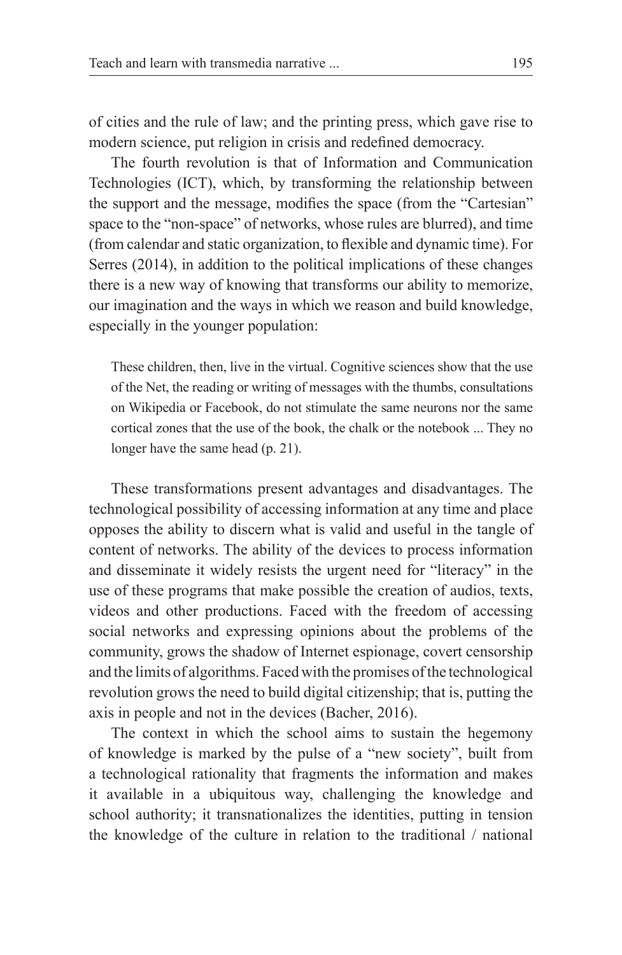of cities and the rule of law; and the printing press, which gave rise to modern science, put religion in crisis and redefined democracy.

The fourth revolution is that of Information and Communication Technologies (ICT), which, by transforming the relationship between the support and the message, modifies the space (from the "Cartesian" space to the "non-space" of networks, whose rules are blurred), and time (from calendar and static organization, to flexible and dynamic time). For Serres (2014), in addition to the political implications of these changes there is a new way of knowing that transforms our ability to memorize, our imagination and the ways in which we reason and build knowledge, especially in the younger population:

These children, then, live in the virtual. Cognitive sciences show that the use of the Net, the reading or writing of messages with the thumbs, consultations on Wikipedia or Facebook, do not stimulate the same neurons nor the same cortical zones that the use of the book, the chalk or the notebook ... They no longer have the same head (p. 21).

These transformations present advantages and disadvantages. The technological possibility of accessing information at any time and place opposes the ability to discern what is valid and useful in the tangle of content of networks. The ability of the devices to process information and disseminate it widely resists the urgent need for "literacy" in the use of these programs that make possible the creation of audios, texts, videos and other productions. Faced with the freedom of accessing social networks and expressing opinions about the problems of the community, grows the shadow of Internet espionage, covert censorship and the limits of algorithms. Faced with the promises of the technological revolution grows the need to build digital citizenship; that is, putting the axis in people and not in the devices (Bacher, 2016).

The context in which the school aims to sustain the hegemony of knowledge is marked by the pulse of a "new society", built from a technological rationality that fragments the information and makes it available in a ubiquitous way, challenging the knowledge and school authority; it transnationalizes the identities, putting in tension the knowledge of the culture in relation to the traditional / national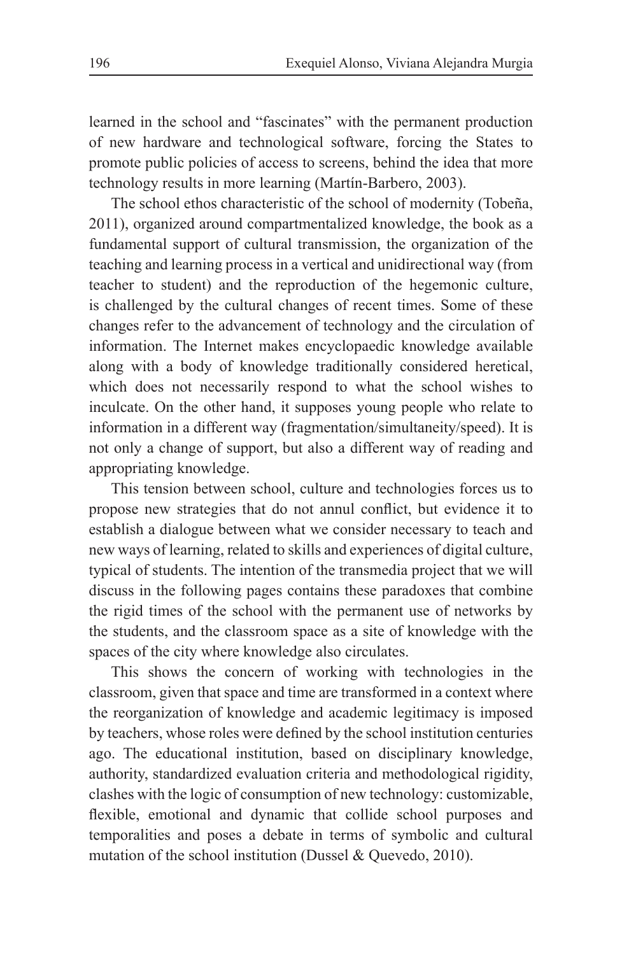learned in the school and "fascinates" with the permanent production of new hardware and technological software, forcing the States to promote public policies of access to screens, behind the idea that more technology results in more learning (Martín-Barbero, 2003).

The school ethos characteristic of the school of modernity (Tobeña, 2011), organized around compartmentalized knowledge, the book as a fundamental support of cultural transmission, the organization of the teaching and learning process in a vertical and unidirectional way (from teacher to student) and the reproduction of the hegemonic culture, is challenged by the cultural changes of recent times. Some of these changes refer to the advancement of technology and the circulation of information. The Internet makes encyclopaedic knowledge available along with a body of knowledge traditionally considered heretical, which does not necessarily respond to what the school wishes to inculcate. On the other hand, it supposes young people who relate to information in a different way (fragmentation/simultaneity/speed). It is not only a change of support, but also a different way of reading and appropriating knowledge.

This tension between school, culture and technologies forces us to propose new strategies that do not annul conflict, but evidence it to establish a dialogue between what we consider necessary to teach and new ways of learning, related to skills and experiences of digital culture, typical of students. The intention of the transmedia project that we will discuss in the following pages contains these paradoxes that combine the rigid times of the school with the permanent use of networks by the students, and the classroom space as a site of knowledge with the spaces of the city where knowledge also circulates.

This shows the concern of working with technologies in the classroom, given that space and time are transformed in a context where the reorganization of knowledge and academic legitimacy is imposed by teachers, whose roles were defined by the school institution centuries ago. The educational institution, based on disciplinary knowledge, authority, standardized evaluation criteria and methodological rigidity, clashes with the logic of consumption of new technology: customizable, flexible, emotional and dynamic that collide school purposes and temporalities and poses a debate in terms of symbolic and cultural mutation of the school institution (Dussel & Quevedo, 2010).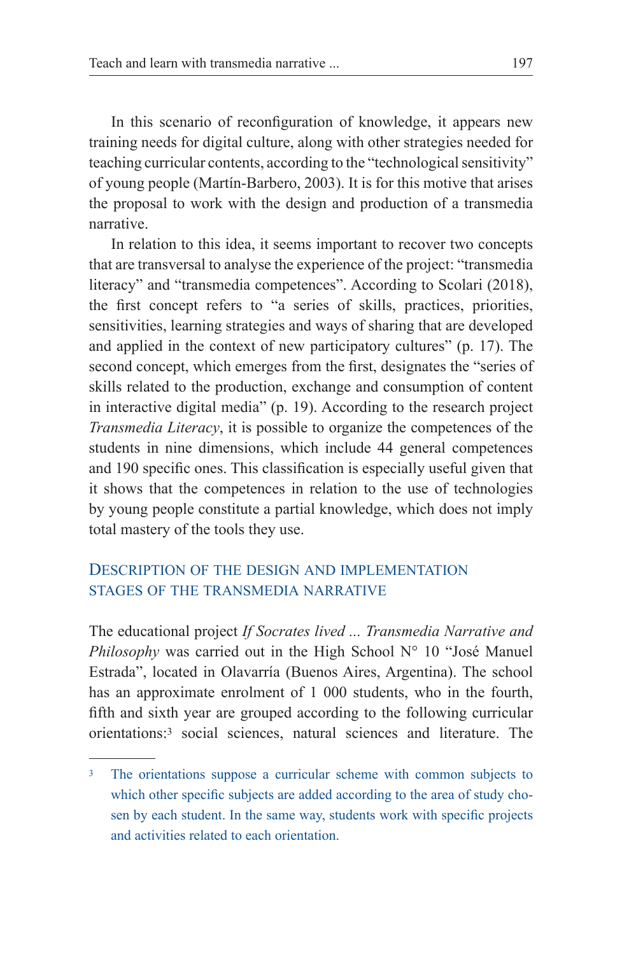In this scenario of reconfiguration of knowledge, it appears new training needs for digital culture, along with other strategies needed for teaching curricular contents, according to the "technological sensitivity" of young people (Martín-Barbero, 2003). It is for this motive that arises the proposal to work with the design and production of a transmedia narrative.

In relation to this idea, it seems important to recover two concepts that are transversal to analyse the experience of the project: "transmedia literacy" and "transmedia competences". According to Scolari (2018), the first concept refers to "a series of skills, practices, priorities, sensitivities, learning strategies and ways of sharing that are developed and applied in the context of new participatory cultures" (p. 17). The second concept, which emerges from the first, designates the "series of skills related to the production, exchange and consumption of content in interactive digital media" (p. 19). According to the research project *Transmedia Literacy*, it is possible to organize the competences of the students in nine dimensions, which include 44 general competences and 190 specific ones. This classification is especially useful given that it shows that the competences in relation to the use of technologies by young people constitute a partial knowledge, which does not imply total mastery of the tools they use.

### Description of the design and implementation stages of the transmedia narrative

The educational project *If Socrates lived ... Transmedia Narrative and Philosophy* was carried out in the High School N° 10 "José Manuel Estrada", located in Olavarría (Buenos Aires, Argentina). The school has an approximate enrolment of 1 000 students, who in the fourth, fifth and sixth year are grouped according to the following curricular orientations:3 social sciences, natural sciences and literature. The

<sup>&</sup>lt;sup>3</sup> The orientations suppose a curricular scheme with common subjects to which other specific subjects are added according to the area of study chosen by each student. In the same way, students work with specific projects and activities related to each orientation.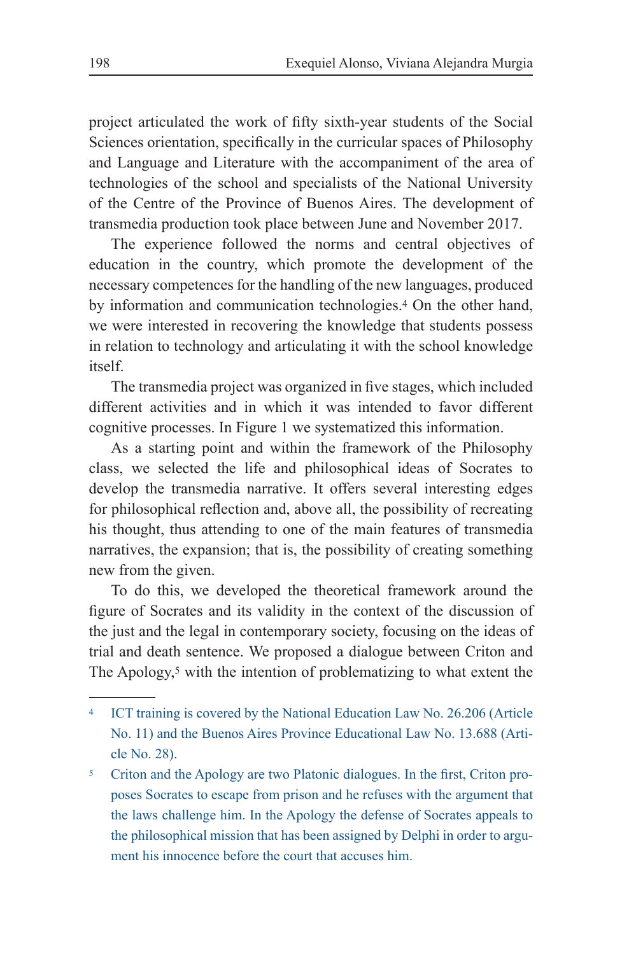project articulated the work of fifty sixth-year students of the Social Sciences orientation, specifically in the curricular spaces of Philosophy and Language and Literature with the accompaniment of the area of technologies of the school and specialists of the National University of the Centre of the Province of Buenos Aires. The development of transmedia production took place between June and November 2017.

The experience followed the norms and central objectives of education in the country, which promote the development of the necessary competences for the handling of the new languages, produced by information and communication technologies.4 On the other hand, we were interested in recovering the knowledge that students possess in relation to technology and articulating it with the school knowledge itself.

The transmedia project was organized in five stages, which included different activities and in which it was intended to favor different cognitive processes. In Figure 1 we systematized this information.

As a starting point and within the framework of the Philosophy class, we selected the life and philosophical ideas of Socrates to develop the transmedia narrative. It offers several interesting edges for philosophical reflection and, above all, the possibility of recreating his thought, thus attending to one of the main features of transmedia narratives, the expansion; that is, the possibility of creating something new from the given.

To do this, we developed the theoretical framework around the figure of Socrates and its validity in the context of the discussion of the just and the legal in contemporary society, focusing on the ideas of trial and death sentence. We proposed a dialogue between Criton and The Apology,<sup>5</sup> with the intention of problematizing to what extent the

ICT training is covered by the National Education Law No. 26.206 (Article No. 11) and the Buenos Aires Province Educational Law No. 13.688 (Article No. 28).

<sup>5</sup> Criton and the Apology are two Platonic dialogues. In the first, Criton proposes Socrates to escape from prison and he refuses with the argument that the laws challenge him. In the Apology the defense of Socrates appeals to the philosophical mission that has been assigned by Delphi in order to argument his innocence before the court that accuses him.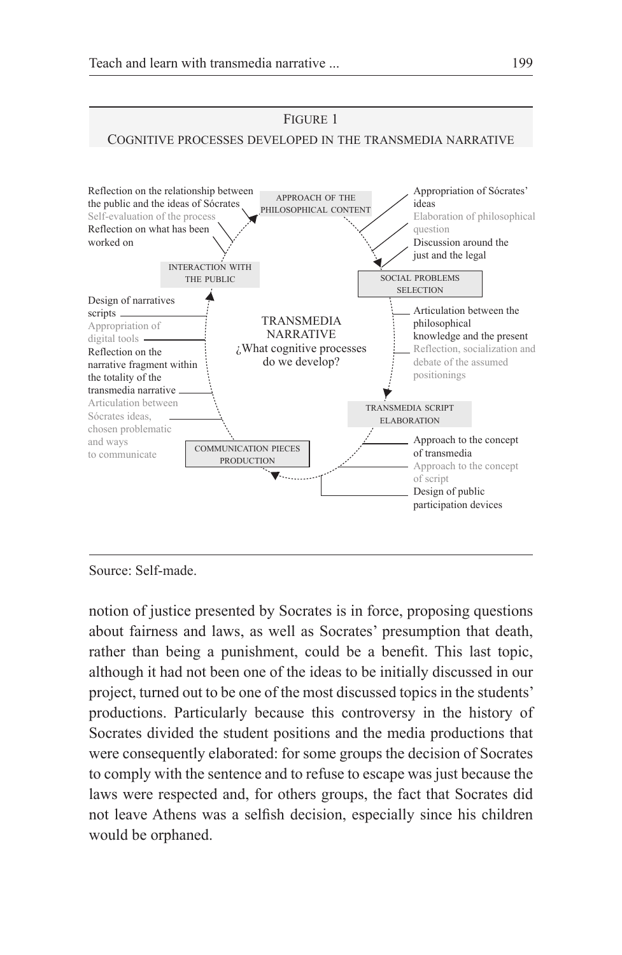

Source: Self-made.

notion of justice presented by Socrates is in force, proposing questions about fairness and laws, as well as Socrates' presumption that death, rather than being a punishment, could be a benefit. This last topic, although it had not been one of the ideas to be initially discussed in our project, turned out to be one of the most discussed topics in the students' productions. Particularly because this controversy in the history of Socrates divided the student positions and the media productions that were consequently elaborated: for some groups the decision of Socrates to comply with the sentence and to refuse to escape was just because the laws were respected and, for others groups, the fact that Socrates did not leave Athens was a selfish decision, especially since his children would be orphaned.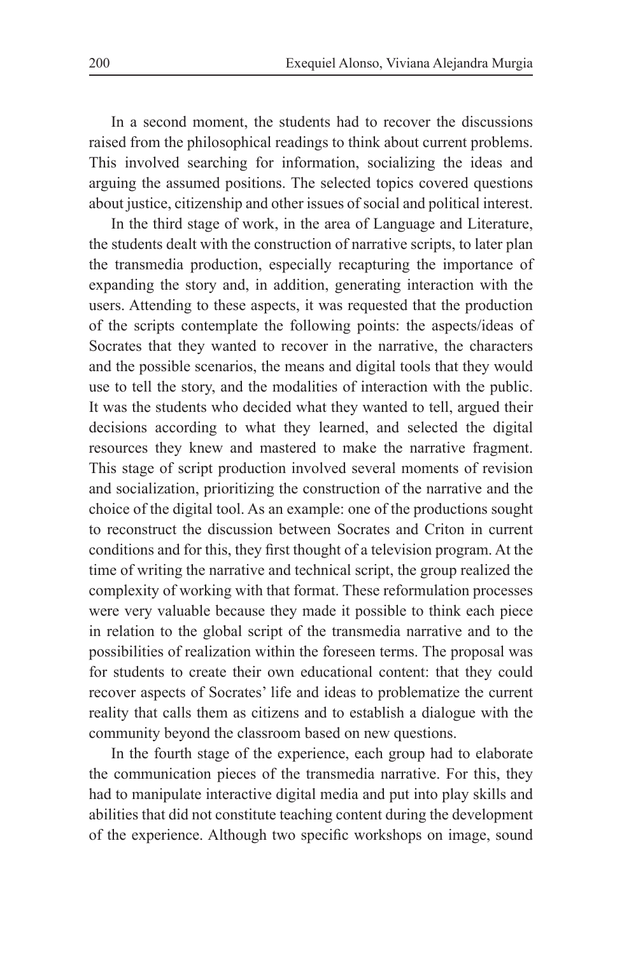In a second moment, the students had to recover the discussions raised from the philosophical readings to think about current problems. This involved searching for information, socializing the ideas and arguing the assumed positions. The selected topics covered questions about justice, citizenship and other issues of social and political interest.

In the third stage of work, in the area of Language and Literature, the students dealt with the construction of narrative scripts, to later plan the transmedia production, especially recapturing the importance of expanding the story and, in addition, generating interaction with the users. Attending to these aspects, it was requested that the production of the scripts contemplate the following points: the aspects/ideas of Socrates that they wanted to recover in the narrative, the characters and the possible scenarios, the means and digital tools that they would use to tell the story, and the modalities of interaction with the public. It was the students who decided what they wanted to tell, argued their decisions according to what they learned, and selected the digital resources they knew and mastered to make the narrative fragment. This stage of script production involved several moments of revision and socialization, prioritizing the construction of the narrative and the choice of the digital tool. As an example: one of the productions sought to reconstruct the discussion between Socrates and Criton in current conditions and for this, they first thought of a television program. At the time of writing the narrative and technical script, the group realized the complexity of working with that format. These reformulation processes were very valuable because they made it possible to think each piece in relation to the global script of the transmedia narrative and to the possibilities of realization within the foreseen terms. The proposal was for students to create their own educational content: that they could recover aspects of Socrates' life and ideas to problematize the current reality that calls them as citizens and to establish a dialogue with the community beyond the classroom based on new questions.

In the fourth stage of the experience, each group had to elaborate the communication pieces of the transmedia narrative. For this, they had to manipulate interactive digital media and put into play skills and abilities that did not constitute teaching content during the development of the experience. Although two specific workshops on image, sound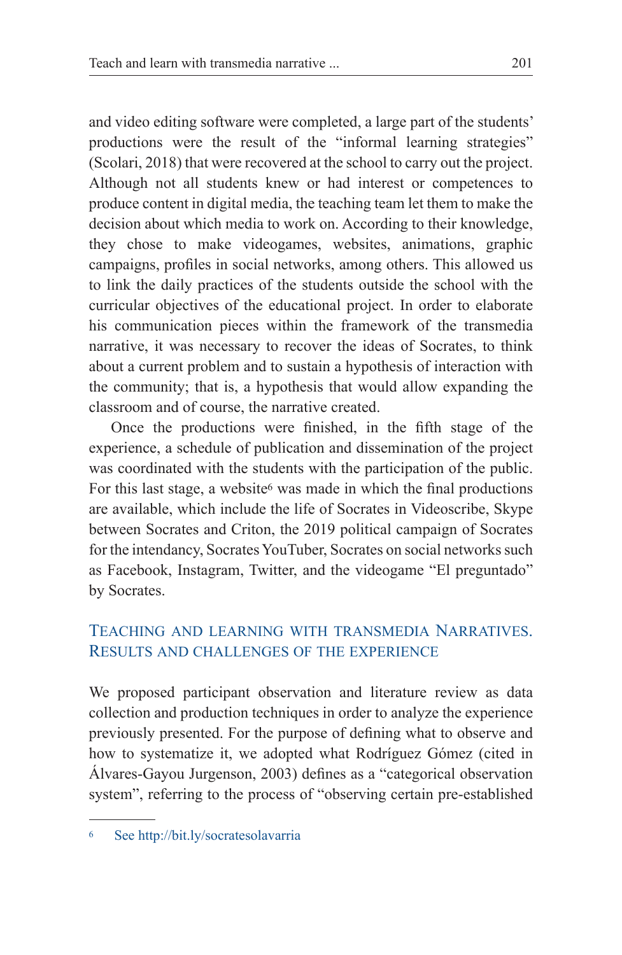and video editing software were completed, a large part of the students' productions were the result of the "informal learning strategies" (Scolari, 2018) that were recovered at the school to carry out the project. Although not all students knew or had interest or competences to produce content in digital media, the teaching team let them to make the decision about which media to work on. According to their knowledge, they chose to make videogames, websites, animations, graphic campaigns, profiles in social networks, among others. This allowed us to link the daily practices of the students outside the school with the curricular objectives of the educational project. In order to elaborate his communication pieces within the framework of the transmedia narrative, it was necessary to recover the ideas of Socrates, to think about a current problem and to sustain a hypothesis of interaction with the community; that is, a hypothesis that would allow expanding the classroom and of course, the narrative created.

Once the productions were finished, in the fifth stage of the experience, a schedule of publication and dissemination of the project was coordinated with the students with the participation of the public. For this last stage, a website<sup>6</sup> was made in which the final productions are available, which include the life of Socrates in Videoscribe, Skype between Socrates and Criton, the 2019 political campaign of Socrates for the intendancy, Socrates YouTuber, Socrates on social networks such as Facebook, Instagram, Twitter, and the videogame "El preguntado" by Socrates.

### Teaching and learning with transmedia Narratives. Results and challenges of the experience

We proposed participant observation and literature review as data collection and production techniques in order to analyze the experience previously presented. For the purpose of defining what to observe and how to systematize it, we adopted what Rodríguez Gómez (cited in Álvares-Gayou Jurgenson, 2003) defines as a "categorical observation system", referring to the process of "observing certain pre-established

<sup>6</sup> See http://bit.ly/socratesolavarria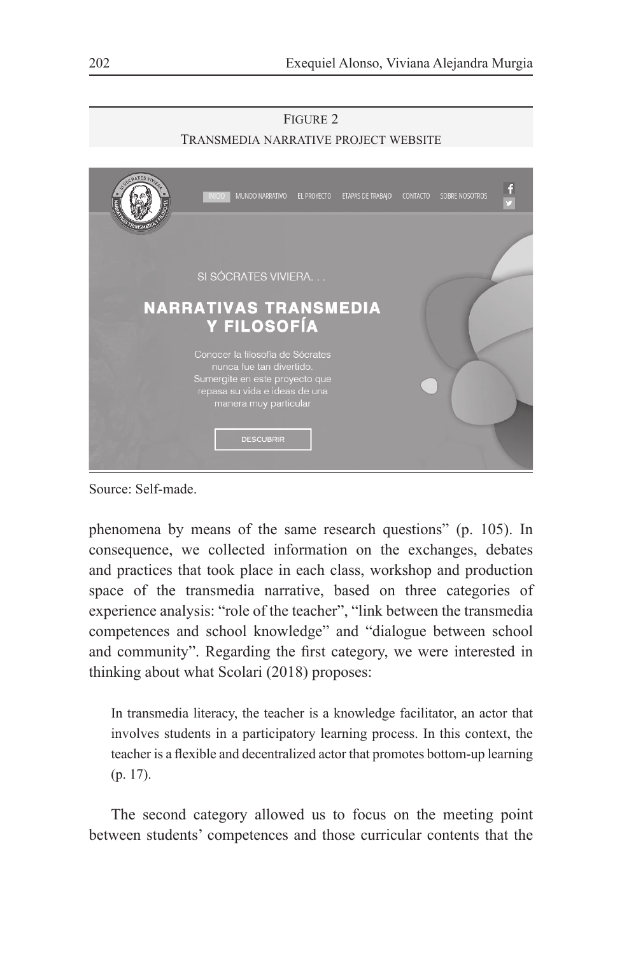

Source: Self-made.

phenomena by means of the same research questions" (p. 105). In consequence, we collected information on the exchanges, debates and practices that took place in each class, workshop and production space of the transmedia narrative, based on three categories of experience analysis: "role of the teacher", "link between the transmedia competences and school knowledge" and "dialogue between school and community". Regarding the first category, we were interested in thinking about what Scolari (2018) proposes:

In transmedia literacy, the teacher is a knowledge facilitator, an actor that involves students in a participatory learning process. In this context, the teacher is a flexible and decentralized actor that promotes bottom-up learning (p. 17).

The second category allowed us to focus on the meeting point between students' competences and those curricular contents that the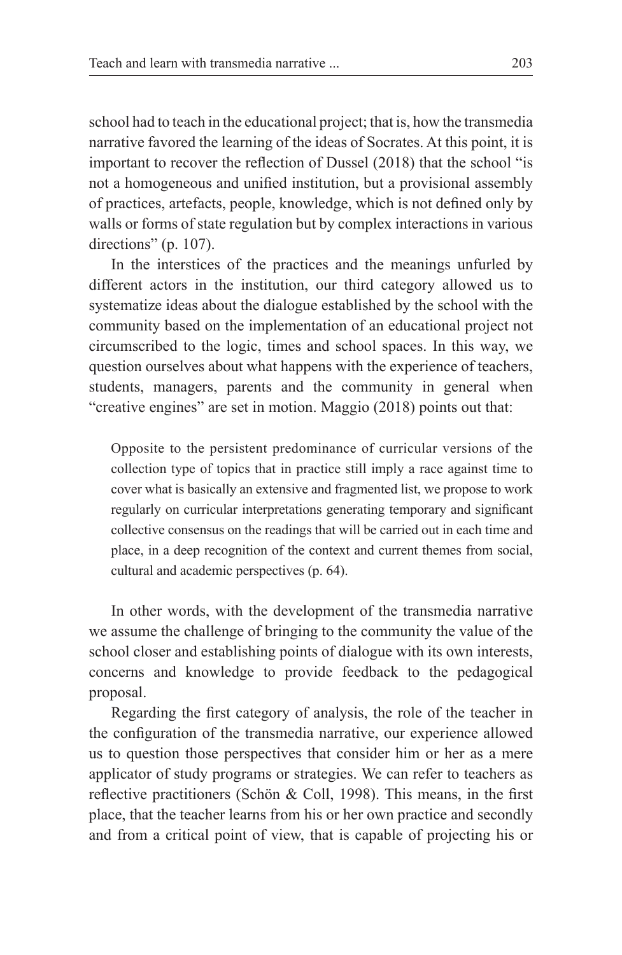school had to teach in the educational project; that is, how the transmedia narrative favored the learning of the ideas of Socrates. At this point, it is important to recover the reflection of Dussel (2018) that the school "is not a homogeneous and unified institution, but a provisional assembly of practices, artefacts, people, knowledge, which is not defined only by walls or forms of state regulation but by complex interactions in various directions" (p. 107).

In the interstices of the practices and the meanings unfurled by different actors in the institution, our third category allowed us to systematize ideas about the dialogue established by the school with the community based on the implementation of an educational project not circumscribed to the logic, times and school spaces. In this way, we question ourselves about what happens with the experience of teachers, students, managers, parents and the community in general when "creative engines" are set in motion. Maggio (2018) points out that:

Opposite to the persistent predominance of curricular versions of the collection type of topics that in practice still imply a race against time to cover what is basically an extensive and fragmented list, we propose to work regularly on curricular interpretations generating temporary and significant collective consensus on the readings that will be carried out in each time and place, in a deep recognition of the context and current themes from social, cultural and academic perspectives (p. 64).

In other words, with the development of the transmedia narrative we assume the challenge of bringing to the community the value of the school closer and establishing points of dialogue with its own interests, concerns and knowledge to provide feedback to the pedagogical proposal.

Regarding the first category of analysis, the role of the teacher in the configuration of the transmedia narrative, our experience allowed us to question those perspectives that consider him or her as a mere applicator of study programs or strategies. We can refer to teachers as reflective practitioners (Schön & Coll, 1998). This means, in the first place, that the teacher learns from his or her own practice and secondly and from a critical point of view, that is capable of projecting his or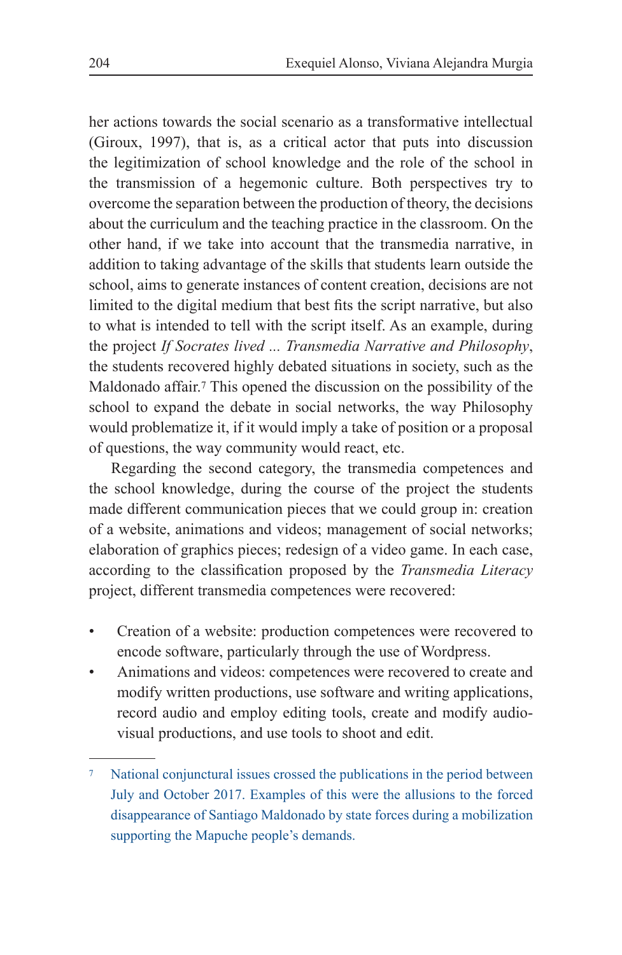her actions towards the social scenario as a transformative intellectual (Giroux, 1997), that is, as a critical actor that puts into discussion the legitimization of school knowledge and the role of the school in the transmission of a hegemonic culture. Both perspectives try to overcome the separation between the production of theory, the decisions about the curriculum and the teaching practice in the classroom. On the other hand, if we take into account that the transmedia narrative, in addition to taking advantage of the skills that students learn outside the school, aims to generate instances of content creation, decisions are not limited to the digital medium that best fits the script narrative, but also to what is intended to tell with the script itself. As an example, during the project *If Socrates lived ... Transmedia Narrative and Philosophy*, the students recovered highly debated situations in society, such as the Maldonado affair.7 This opened the discussion on the possibility of the school to expand the debate in social networks, the way Philosophy would problematize it, if it would imply a take of position or a proposal of questions, the way community would react, etc.

Regarding the second category, the transmedia competences and the school knowledge, during the course of the project the students made different communication pieces that we could group in: creation of a website, animations and videos; management of social networks; elaboration of graphics pieces; redesign of a video game. In each case, according to the classification proposed by the *Transmedia Literacy* project, different transmedia competences were recovered:

- Creation of a website: production competences were recovered to encode software, particularly through the use of Wordpress.
- Animations and videos: competences were recovered to create and modify written productions, use software and writing applications, record audio and employ editing tools, create and modify audiovisual productions, and use tools to shoot and edit.

<sup>7</sup> National conjunctural issues crossed the publications in the period between July and October 2017. Examples of this were the allusions to the forced disappearance of Santiago Maldonado by state forces during a mobilization supporting the Mapuche people's demands.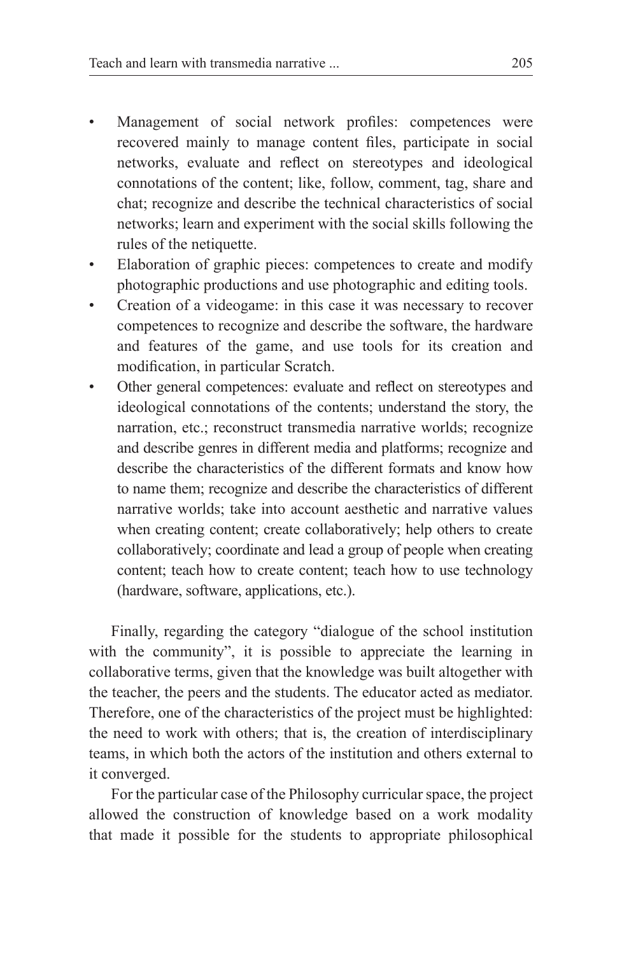- Management of social network profiles: competences were recovered mainly to manage content files, participate in social networks, evaluate and reflect on stereotypes and ideological connotations of the content; like, follow, comment, tag, share and chat; recognize and describe the technical characteristics of social networks; learn and experiment with the social skills following the rules of the netiquette.
- Elaboration of graphic pieces: competences to create and modify photographic productions and use photographic and editing tools.
- Creation of a videogame: in this case it was necessary to recover competences to recognize and describe the software, the hardware and features of the game, and use tools for its creation and modification, in particular Scratch.
- Other general competences: evaluate and reflect on stereotypes and ideological connotations of the contents; understand the story, the narration, etc.; reconstruct transmedia narrative worlds; recognize and describe genres in different media and platforms; recognize and describe the characteristics of the different formats and know how to name them; recognize and describe the characteristics of different narrative worlds; take into account aesthetic and narrative values when creating content; create collaboratively; help others to create collaboratively; coordinate and lead a group of people when creating content; teach how to create content; teach how to use technology (hardware, software, applications, etc.).

Finally, regarding the category "dialogue of the school institution with the community", it is possible to appreciate the learning in collaborative terms, given that the knowledge was built altogether with the teacher, the peers and the students. The educator acted as mediator. Therefore, one of the characteristics of the project must be highlighted: the need to work with others; that is, the creation of interdisciplinary teams, in which both the actors of the institution and others external to it converged.

For the particular case of the Philosophy curricular space, the project allowed the construction of knowledge based on a work modality that made it possible for the students to appropriate philosophical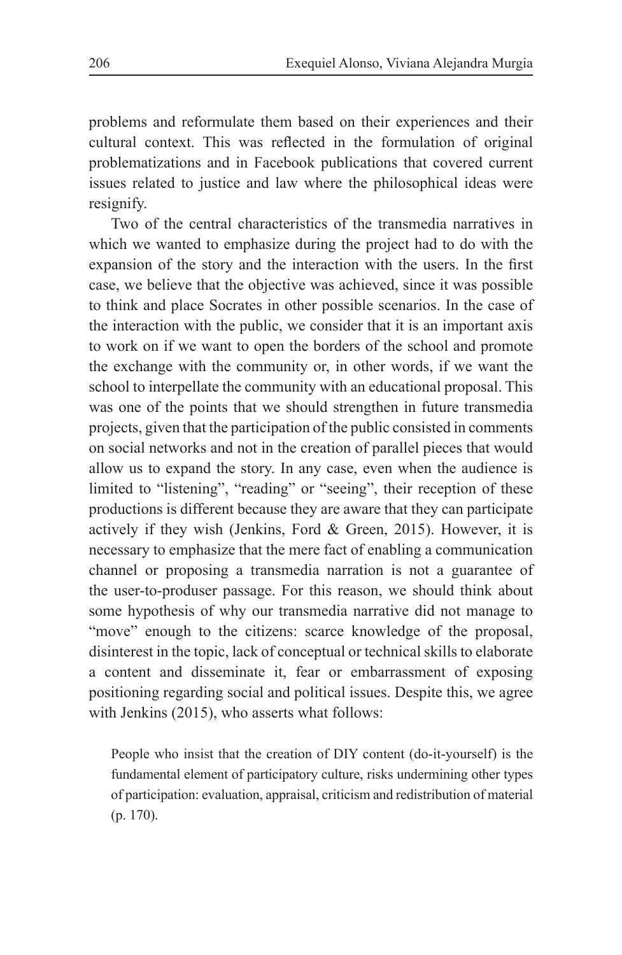problems and reformulate them based on their experiences and their cultural context. This was reflected in the formulation of original problematizations and in Facebook publications that covered current issues related to justice and law where the philosophical ideas were resignify.

Two of the central characteristics of the transmedia narratives in which we wanted to emphasize during the project had to do with the expansion of the story and the interaction with the users. In the first case, we believe that the objective was achieved, since it was possible to think and place Socrates in other possible scenarios. In the case of the interaction with the public, we consider that it is an important axis to work on if we want to open the borders of the school and promote the exchange with the community or, in other words, if we want the school to interpellate the community with an educational proposal. This was one of the points that we should strengthen in future transmedia projects, given that the participation of the public consisted in comments on social networks and not in the creation of parallel pieces that would allow us to expand the story. In any case, even when the audience is limited to "listening", "reading" or "seeing", their reception of these productions is different because they are aware that they can participate actively if they wish (Jenkins, Ford & Green, 2015). However, it is necessary to emphasize that the mere fact of enabling a communication channel or proposing a transmedia narration is not a guarantee of the user-to-produser passage. For this reason, we should think about some hypothesis of why our transmedia narrative did not manage to "move" enough to the citizens: scarce knowledge of the proposal, disinterest in the topic, lack of conceptual or technical skills to elaborate a content and disseminate it, fear or embarrassment of exposing positioning regarding social and political issues. Despite this, we agree with Jenkins (2015), who asserts what follows:

People who insist that the creation of DIY content (do-it-yourself) is the fundamental element of participatory culture, risks undermining other types of participation: evaluation, appraisal, criticism and redistribution of material (p. 170).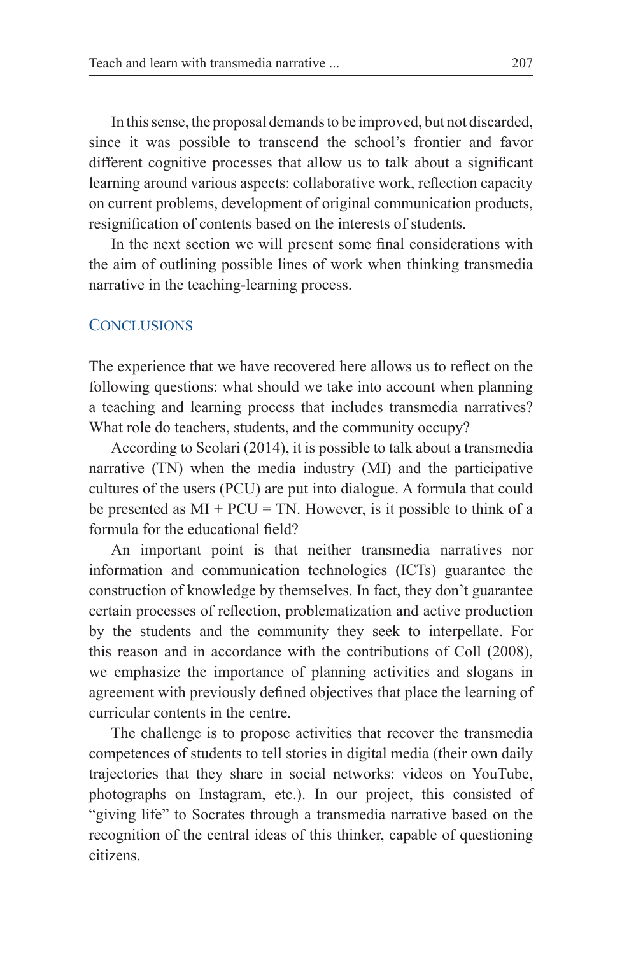In this sense, the proposal demands to be improved, but not discarded, since it was possible to transcend the school's frontier and favor different cognitive processes that allow us to talk about a significant learning around various aspects: collaborative work, reflection capacity on current problems, development of original communication products, resignification of contents based on the interests of students.

In the next section we will present some final considerations with the aim of outlining possible lines of work when thinking transmedia narrative in the teaching-learning process.

#### **CONCLUSIONS**

The experience that we have recovered here allows us to reflect on the following questions: what should we take into account when planning a teaching and learning process that includes transmedia narratives? What role do teachers, students, and the community occupy?

According to Scolari (2014), it is possible to talk about a transmedia narrative (TN) when the media industry (MI) and the participative cultures of the users (PCU) are put into dialogue. A formula that could be presented as  $MI + PCU = TN$ . However, is it possible to think of a formula for the educational field?

An important point is that neither transmedia narratives nor information and communication technologies (ICTs) guarantee the construction of knowledge by themselves. In fact, they don't guarantee certain processes of reflection, problematization and active production by the students and the community they seek to interpellate. For this reason and in accordance with the contributions of Coll (2008), we emphasize the importance of planning activities and slogans in agreement with previously defined objectives that place the learning of curricular contents in the centre.

The challenge is to propose activities that recover the transmedia competences of students to tell stories in digital media (their own daily trajectories that they share in social networks: videos on YouTube, photographs on Instagram, etc.). In our project, this consisted of "giving life" to Socrates through a transmedia narrative based on the recognition of the central ideas of this thinker, capable of questioning citizens.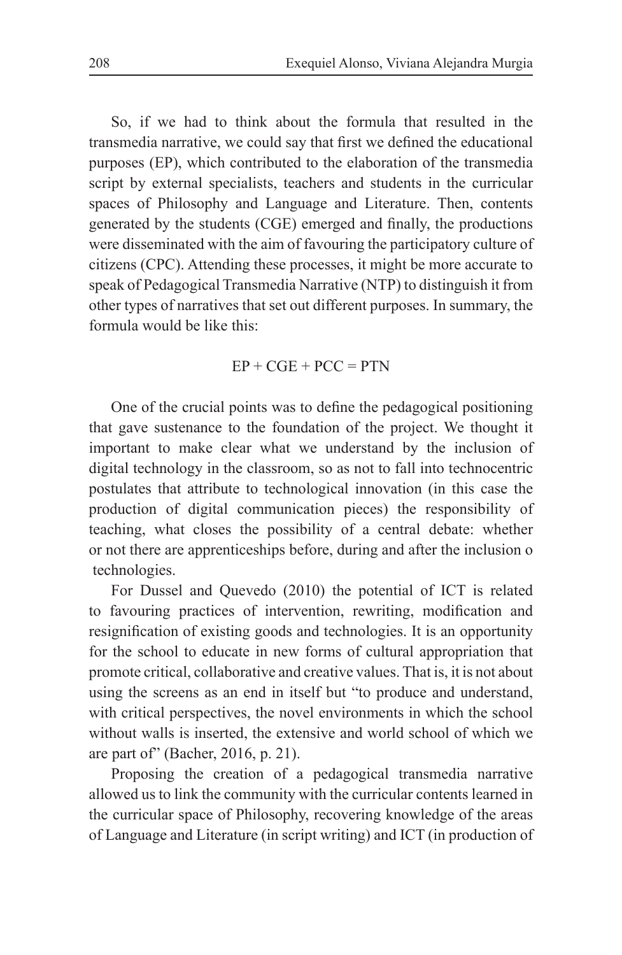So, if we had to think about the formula that resulted in the transmedia narrative, we could say that first we defined the educational purposes (EP), which contributed to the elaboration of the transmedia script by external specialists, teachers and students in the curricular spaces of Philosophy and Language and Literature. Then, contents generated by the students (CGE) emerged and finally, the productions were disseminated with the aim of favouring the participatory culture of citizens (CPC). Attending these processes, it might be more accurate to speak of Pedagogical Transmedia Narrative (NTP) to distinguish it from other types of narratives that set out different purposes. In summary, the formula would be like this:

#### $EP + CGE + PCC = PTN$

One of the crucial points was to define the pedagogical positioning that gave sustenance to the foundation of the project. We thought it important to make clear what we understand by the inclusion of digital technology in the classroom, so as not to fall into technocentric postulates that attribute to technological innovation (in this case the production of digital communication pieces) the responsibility of teaching, what closes the possibility of a central debate: whether or not there are apprenticeships before, during and after the inclusion o technologies.

For Dussel and Quevedo (2010) the potential of ICT is related to favouring practices of intervention, rewriting, modification and resignification of existing goods and technologies. It is an opportunity for the school to educate in new forms of cultural appropriation that promote critical, collaborative and creative values. That is, it is not about using the screens as an end in itself but "to produce and understand, with critical perspectives, the novel environments in which the school without walls is inserted, the extensive and world school of which we are part of" (Bacher, 2016, p. 21).

Proposing the creation of a pedagogical transmedia narrative allowed us to link the community with the curricular contents learned in the curricular space of Philosophy, recovering knowledge of the areas of Language and Literature (in script writing) and ICT (in production of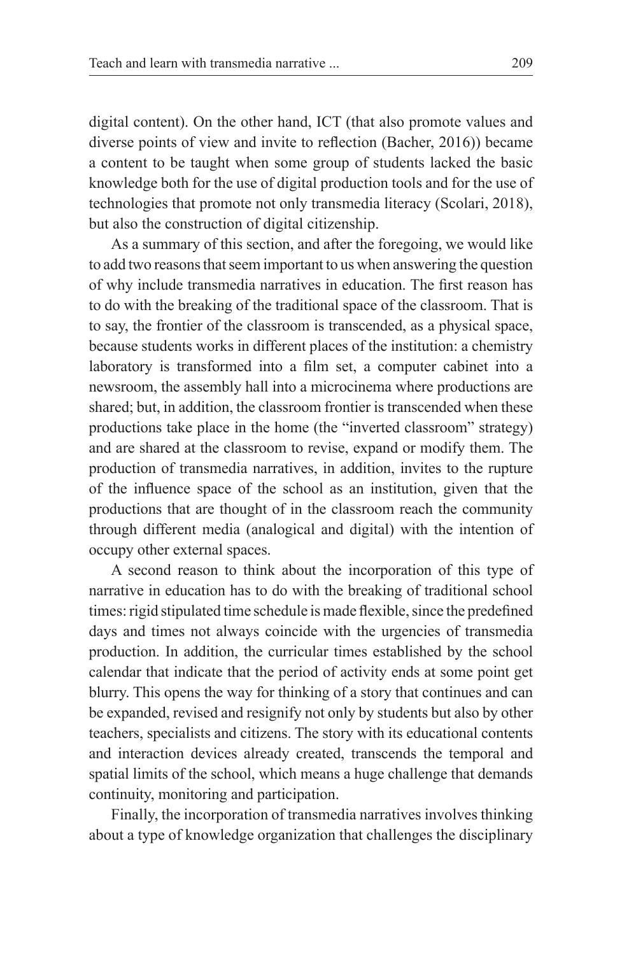digital content). On the other hand, ICT (that also promote values and diverse points of view and invite to reflection (Bacher, 2016)) became a content to be taught when some group of students lacked the basic knowledge both for the use of digital production tools and for the use of technologies that promote not only transmedia literacy (Scolari, 2018), but also the construction of digital citizenship.

As a summary of this section, and after the foregoing, we would like to add two reasons that seem important to us when answering the question of why include transmedia narratives in education. The first reason has to do with the breaking of the traditional space of the classroom. That is to say, the frontier of the classroom is transcended, as a physical space, because students works in different places of the institution: a chemistry laboratory is transformed into a film set, a computer cabinet into a newsroom, the assembly hall into a microcinema where productions are shared; but, in addition, the classroom frontier is transcended when these productions take place in the home (the "inverted classroom" strategy) and are shared at the classroom to revise, expand or modify them. The production of transmedia narratives, in addition, invites to the rupture of the influence space of the school as an institution, given that the productions that are thought of in the classroom reach the community through different media (analogical and digital) with the intention of occupy other external spaces.

A second reason to think about the incorporation of this type of narrative in education has to do with the breaking of traditional school times: rigid stipulated time schedule is made flexible, since the predefined days and times not always coincide with the urgencies of transmedia production. In addition, the curricular times established by the school calendar that indicate that the period of activity ends at some point get blurry. This opens the way for thinking of a story that continues and can be expanded, revised and resignify not only by students but also by other teachers, specialists and citizens. The story with its educational contents and interaction devices already created, transcends the temporal and spatial limits of the school, which means a huge challenge that demands continuity, monitoring and participation.

Finally, the incorporation of transmedia narratives involves thinking about a type of knowledge organization that challenges the disciplinary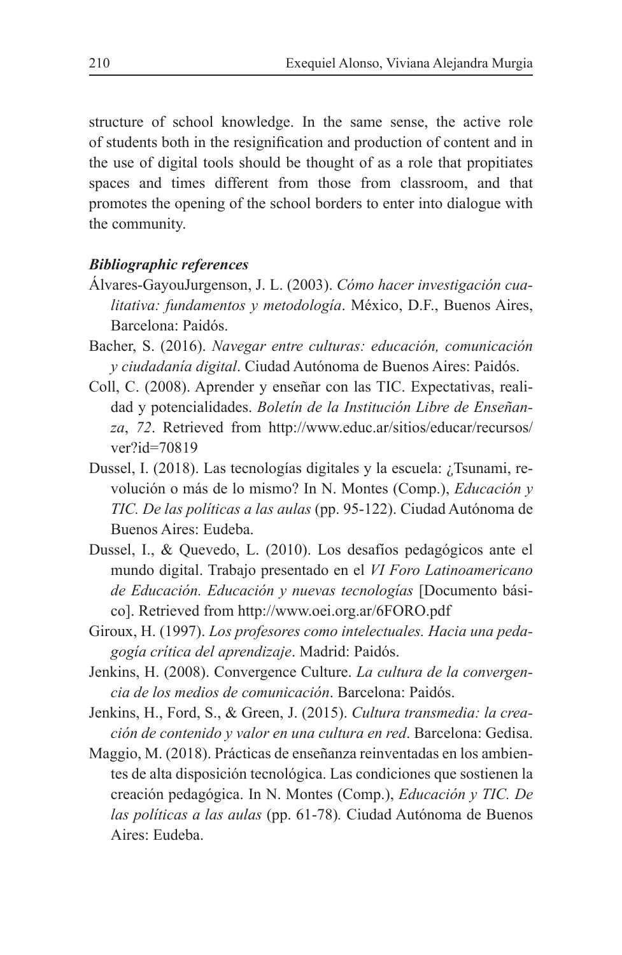structure of school knowledge. In the same sense, the active role of students both in the resignification and production of content and in the use of digital tools should be thought of as a role that propitiates spaces and times different from those from classroom, and that promotes the opening of the school borders to enter into dialogue with the community.

#### *Bibliographic references*

- Álvares-GayouJurgenson, J. L. (2003). *Cómo hacer investigación cualitativa: fundamentos y metodología*. México, D.F., Buenos Aires, Barcelona: Paidós.
- Bacher, S. (2016). *Navegar entre culturas: educación, comunicación y ciudadanía digital*. Ciudad Autónoma de Buenos Aires: Paidós.
- Coll, C. (2008). Aprender y enseñar con las TIC. Expectativas, realidad y potencialidades. *Boletín de la Institución Libre de Enseñanza*, *72*. Retrieved from http://www.educ.ar/sitios/educar/recursos/ ver?id=70819
- Dussel, I. (2018). Las tecnologías digitales y la escuela: ¿Tsunami, revolución o más de lo mismo? In N. Montes (Comp.), *Educación y TIC. De las políticas a las aulas* (pp. 95-122). Ciudad Autónoma de Buenos Aires: Eudeba.
- Dussel, I., & Quevedo, L. (2010). Los desafíos pedagógicos ante el mundo digital. Trabajo presentado en el *VI Foro Latinoamericano de Educación. Educación y nuevas tecnologías* [Documento básico]. Retrieved from http://www.oei.org.ar/6FORO.pdf
- Giroux, H. (1997). *Los profesores como intelectuales. Hacia una pedagogía crítica del aprendizaje*. Madrid: Paidós.
- Jenkins, H. (2008). Convergence Culture. *La cultura de la convergencia de los medios de comunicación*. Barcelona: Paidós.
- Jenkins, H., Ford, S., & Green, J. (2015). *Cultura transmedia: la creación de contenido y valor en una cultura en red*. Barcelona: Gedisa.
- Maggio, M. (2018). Prácticas de enseñanza reinventadas en los ambientes de alta disposición tecnológica. Las condiciones que sostienen la creación pedagógica. In N. Montes (Comp.), *Educación y TIC. De las políticas a las aulas* (pp. 61-78)*.* Ciudad Autónoma de Buenos Aires: Eudeba.